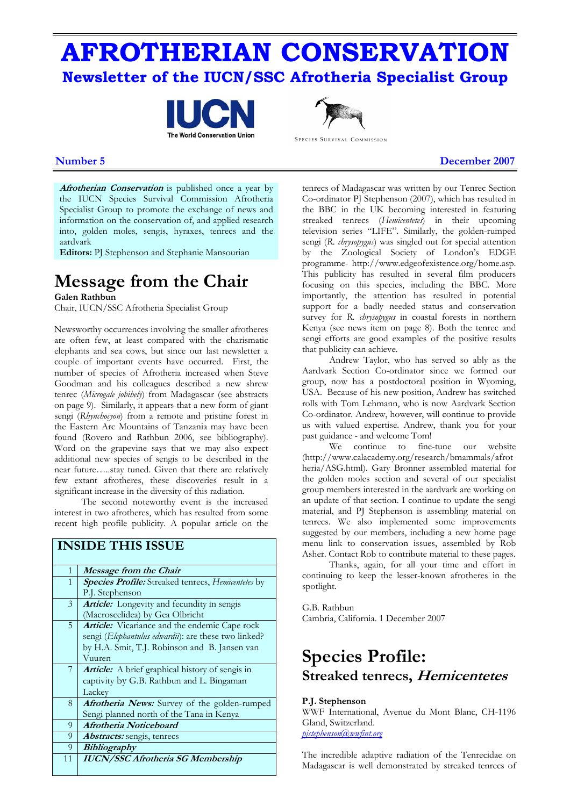# **AFROTHERIAN CONSERVATION Newsletter of the IUCN/SSC Afrotheria Specialist Group**





SPECIES SURVIVAL COMMISSION

**Number 5** December 2007

**Afrotherian Conservation** is published once a year by the IUCN Species Survival Commission Afrotheria Specialist Group to promote the exchange of news and information on the conservation of, and applied research into, golden moles, sengis, hyraxes, tenrecs and the aardvark

**Editors:** PJ Stephenson and Stephanie Mansourian

# **Message from the Chair**

**Galen Rathbun** 

Chair, IUCN/SSC Afrotheria Specialist Group

Newsworthy occurrences involving the smaller afrotheres are often few, at least compared with the charismatic elephants and sea cows, but since our last newsletter a couple of important events have occurred. First, the number of species of Afrotheria increased when Steve Goodman and his colleagues described a new shrew tenrec (*Microgale jobihely*) from Madagascar (see abstracts on page 9). Similarly, it appears that a new form of giant sengi (*Rhynchocyon*) from a remote and pristine forest in the Eastern Arc Mountains of Tanzania may have been found (Rovero and Rathbun 2006, see bibliography). Word on the grapevine says that we may also expect additional new species of sengis to be described in the near future…..stay tuned. Given that there are relatively few extant afrotheres, these discoveries result in a significant increase in the diversity of this radiation.

The second noteworthy event is the increased interest in two afrotheres, which has resulted from some recent high profile publicity. A popular article on the

|              | <b>INSIDE THIS ISSUE</b>                                                                                                                                         |
|--------------|------------------------------------------------------------------------------------------------------------------------------------------------------------------|
| $\mathbf{1}$ | Message from the Chair                                                                                                                                           |
| $\mathbf{1}$ | <b>Species Profile:</b> Streaked tenrecs, Hemicentetes by<br>P.J. Stephenson                                                                                     |
| 3            | <b>Article:</b> Longevity and fecundity in sengis<br>(Macroscelidea) by Gea Olbricht                                                                             |
| 5            | Article: Vicariance and the endemic Cape rock<br>sengi (Elephantulus edwardii): are these two linked?<br>by H.A. Smit, T.J. Robinson and B. Jansen van<br>Vuuren |
| 7            | <b>Article:</b> A brief graphical history of sengis in<br>captivity by G.B. Rathbun and L. Bingaman<br>Lackey                                                    |
| 8            | Afrotheria News: Survey of the golden-rumped<br>Sengi planned north of the Tana in Kenya                                                                         |
| 9            | Afrotheria Noticeboard                                                                                                                                           |
| 9            | <i><b>Abstracts:</b></i> sengis, tenrecs                                                                                                                         |
| 9            | <i>Bibliography</i>                                                                                                                                              |
| 11           | <b>IUCN/SSC Afrotheria SG Membership</b>                                                                                                                         |

tenrecs of Madagascar was written by our Tenrec Section Co-ordinator PJ Stephenson (2007), which has resulted in the BBC in the UK becoming interested in featuring streaked tenrecs (*Hemicentetes*) in their upcoming television series "LIFE". Similarly, the golden-rumped sengi (*R*. *chrysopygus*) was singled out for special attention by the Zoological Society of London's EDGE programme- http://www.edgeofexistence.org/home.asp. This publicity has resulted in several film producers focusing on this species, including the BBC. More importantly, the attention has resulted in potential support for a badly needed status and conservation survey for *R*. *chrysopygus* in coastal forests in northern Kenya (see news item on page 8). Both the tenrec and sengi efforts are good examples of the positive results that publicity can achieve.

Andrew Taylor, who has served so ably as the Aardvark Section Co-ordinator since we formed our group, now has a postdoctoral position in Wyoming, USA. Because of his new position, Andrew has switched rolls with Tom Lehmann, who is now Aardvark Section Co-ordinator. Andrew, however, will continue to provide us with valued expertise. Andrew, thank you for your past guidance - and welcome Tom!

We continue to fine-tune our website (http://www.calacademy.org/research/bmammals/afrot heria/ASG.html). Gary Bronner assembled material for the golden moles section and several of our specialist group members interested in the aardvark are working on an update of that section. I continue to update the sengi material, and PJ Stephenson is assembling material on tenrecs. We also implemented some improvements suggested by our members, including a new home page menu link to conservation issues, assembled by Rob Asher. Contact Rob to contribute material to these pages.

Thanks, again, for all your time and effort in continuing to keep the lesser-known afrotheres in the spotlight.

G.B. Rathbun Cambria, California. 1 December 2007

# **Species Profile: Streaked tenrecs, Hemicentetes**

### **P.J. Stephenson**

WWF International, Avenue du Mont Blanc, CH-1196 Gland, Switzerland. *[pjstephenson@wwfint.org](mailto:pjstephenson@wwfint.org)*

The incredible adaptive radiation of the Tenrecidae on Madagascar is well demonstrated by streaked tenrecs of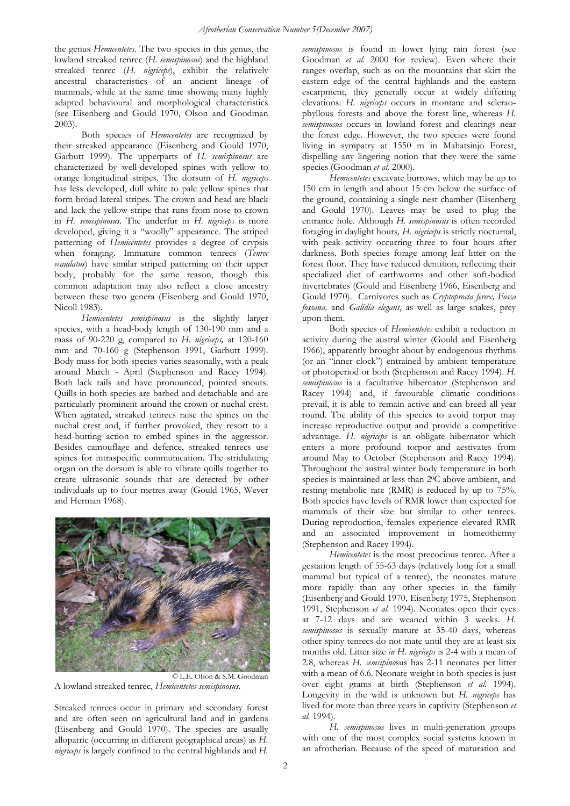the genus *Hemicentetes*. The two species in this genus, the lowland streaked tenrec (*H. semispinosus*) and the highland streaked tenrec (*H. nigriceps*), exhibit the relatively ancestral characteristics of an ancient lineage of mammals, while at the same time showing many highly adapted behavioural and morphological characteristics (see Eisenberg and Gould 1970, Olson and Goodman 2003).

Both species of *Hemicentetes* are recognized by their streaked appearance (Eisenberg and Gould 1970, Garbutt 1999). The upperparts of *H. semispinosus* are characterized by well-developed spines with yellow to orange longitudinal stripes. The dorsum of *H. nigriceps* has less developed, dull white to pale yellow spines that form broad lateral stripes. The crown and head are black and lack the yellow stripe that runs from nose to crown in *H. semispinosus*. The underfur in *H. nigriceps* is more developed, giving it a "woolly" appearance. The striped patterning of *Hemicentetes* provides a degree of crypsis when foraging. Immature common tenrecs (*Tenrec ecaudatus*) have similar striped patterning on their upper body, probably for the same reason, though this common adaptation may also reflect a close ancestry between these two genera (Eisenberg and Gould 1970, Nicoll 1983).

*Hemicentetes semispinosus* is the slightly larger species, with a head-body length of 130-190 mm and a mass of 90-220 g, compared to *H. nigriceps,* at 120-160 mm and 70-160 g (Stephenson 1991, Garbutt 1999). Body mass for both species varies seasonally, with a peak around March - April (Stephenson and Racey 1994). Both lack tails and have pronounced, pointed snouts. Quills in both species are barbed and detachable and are particularly prominent around the crown or nuchal crest. When agitated, streaked tenrecs raise the spines on the nuchal crest and, if further provoked, they resort to a head-butting action to embed spines in the aggressor. Besides camouflage and defence, streaked tenrecs use spines for intraspecific communication. The stridulating organ on the dorsum is able to vibrate quills together to create ultrasonic sounds that are detected by other individuals up to four metres away (Gould 1965, Wever and Herman 1968).



A lowland streaked tenrec, *Hemicentetes semispinosus.*

Streaked tenrecs occur in primary and secondary forest and are often seen on agricultural land and in gardens (Eisenberg and Gould 1970). The species are usually allopatric (occurring in different geographical areas) as *H. nigriceps* is largely confined to the central highlands and *H.*  *semispinosus* is found in lower lying rain forest (see Goodman *et al.* 2000 for review). Even where their ranges overlap, such as on the mountains that skirt the eastern edge of the central highlands and the eastern escarpment, they generally occur at widely differing elevations. *H. nigriceps* occurs in montane and scleraophyllous forests and above the forest line, whereas *H. semispinosus* occurs in lowland forest and clearings near the forest edge. However, the two species were found living in sympatry at 1550 m in Mahatsinjo Forest, dispelling any lingering notion that they were the same species (Goodman et al. 2000).

*Hemicentetes* excavate burrows, which may be up to 150 cm in length and about 15 cm below the surface of the ground, containing a single nest chamber (Eisenberg and Gould 1970). Leaves may be used to plug the entrance hole. Although *H. semispinosus* is often recorded foraging in daylight hours*, H. nigriceps* is strictly nocturnal, with peak activity occurring three to four hours after darkness. Both species forage among leaf litter on the forest floor. They have reduced dentition, reflecting their specialized diet of earthworms and other soft-bodied invertebrates (Gould and Eisenberg 1966, Eisenberg and Gould 1970). Carnivores such as *Cryptoprocta ferox, Fossa fossana,* and *Galidia elegans*, as well as large snakes, prey upon them.

Both species of *Hemicentetes* exhibit a reduction in activity during the austral winter (Gould and Eisenberg 1966), apparently brought about by endogenous rhythms (or an "inner clock") entrained by ambient temperature or photoperiod or both (Stephenson and Racey 1994). *H. semispinosus* is a facultative hibernator (Stephenson and Racey 1994) and, if favourable climatic conditions prevail, it is able to remain active and can breed all year round. The ability of this species to avoid torpor may increase reproductive output and provide a competitive advantage. *H. nigriceps* is an obligate hibernator which enters a more profound torpor and aestivates from around May to October (Stephenson and Racey 1994). Throughout the austral winter body temperature in both species is maintained at less than 20C above ambient, and resting metabolic rate (RMR) is reduced by up to 75%. Both species have levels of RMR lower than expected for mammals of their size but similar to other tenrecs. During reproduction, females experience elevated RMR and an associated improvement in homeothermy (Stephenson and Racey 1994).

*Hemicentetes* is the most precocious tenrec. After a gestation length of 55-63 days (relatively long for a small mammal but typical of a tenrec), the neonates mature more rapidly than any other species in the family (Eisenberg and Gould 1970, Eisenberg 1975, Stephenson 1991, Stephenson *et al.* 1994). Neonates open their eyes at 7-12 days and are weaned within 3 weeks. *H. semispinosus* is sexually mature at 35-40 days, whereas other spiny tenrecs do not mate until they are at least six months old. Litter size *in H. nigriceps* is 2-4 with a mean of 2.8, whereas *H. semsipino*sus has 2-11 neonates per litter with a mean of 6.6. Neonate weight in both species is just over eight grams at birth (Stephenson *et al.* 1994). Longevity in the wild is unknown but *H. nigriceps* has lived for more than three years in captivity (Stephenson *et al.* 1994).

*H. semispinosus* lives in multi-generation groups with one of the most complex social systems known in an afrotherian. Because of the speed of maturation and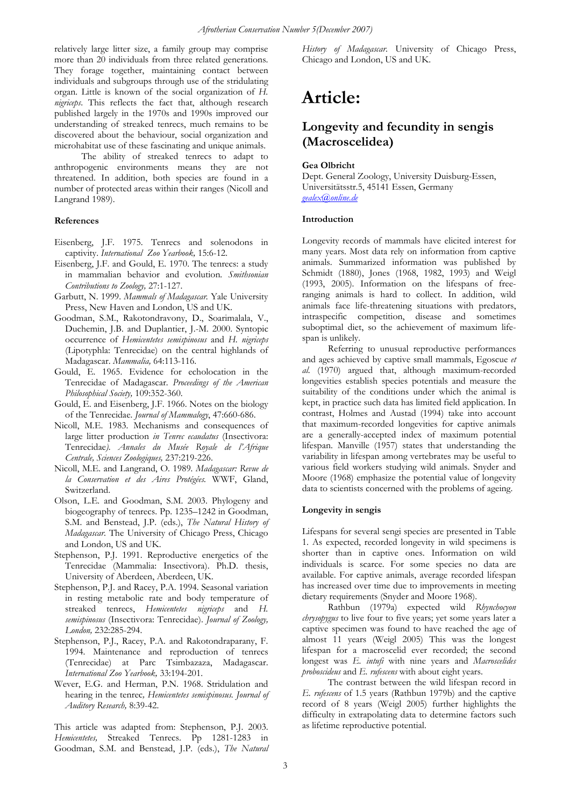relatively large litter size, a family group may comprise more than 20 individuals from three related generations. They forage together, maintaining contact between individuals and subgroups through use of the stridulating organ. Little is known of the social organization of *H. nigriceps*. This reflects the fact that, although research published largely in the 1970s and 1990s improved our understanding of streaked tenrecs, much remains to be discovered about the behaviour, social organization and microhabitat use of these fascinating and unique animals.

The ability of streaked tenrecs to adapt to anthropogenic environments means they are not threatened. In addition, both species are found in a number of protected areas within their ranges (Nicoll and Langrand 1989).

#### **References**

- Eisenberg, J.F. 1975. Tenrecs and solenodons in captivity. *International Zoo Yearbook,* 15:6-12.
- Eisenberg, J.F. and Gould, E. 1970. The tenrecs: a study in mammalian behavior and evolution. *Smithsonian Contributions to Zoology,* 27:1-127.
- Garbutt, N. 1999. *Mammals of Madagascar.* Yale University Press, New Haven and London, US and UK.
- Goodman, S.M., Rakotondravony, D., Soarimalala, V., Duchemin, J.B. and Duplantier, J.-M. 2000. Syntopic occurrence of *Hemicentetes semispinosus* and *H. nigriceps* (Lipotyphla: Tenrecidae) on the central highlands of Madagascar. *Mammalia,* 64:113-116.
- Gould, E. 1965. Evidence for echolocation in the Tenrecidae of Madagascar*. Proceedings of the American Philosophical Society,* 109:352-360.
- Gould, E. and Eisenberg, J.F. 1966. Notes on the biology of the Tenrecidae. *Journal of Mammalogy*, 47:660-686.
- Nicoll, M.E. 1983. Mechanisms and consequences of large litter production *in Tenrec ecaudatus* (Insectivora: Tenrecidae*). Annales du Musée Royale de l'Afrique Centrale, Sciences Zoologiques,* 237:219-226.
- Nicoll, M.E. and Langrand, O. 1989*. Madagascar: Revue de la Conservation et des Aires Protégées.* WWF, Gland, Switzerland.
- Olson, L.E. and Goodman, S.M. 2003. Phylogeny and biogeography of tenrecs. Pp. 1235–1242 in Goodman, S.M. and Benstead, J.P. (eds.), *The Natural History of Madagascar*. The University of Chicago Press, Chicago and London, US and UK.
- Stephenson, P.J. 1991. Reproductive energetics of the Tenrecidae (Mammalia: Insectivora). Ph.D. thesis, University of Aberdeen, Aberdeen, UK.
- Stephenson, P.J. and Racey, P.A. 1994. Seasonal variation in resting metabolic rate and body temperature of streaked tenrecs, *Hemicentetes nigriceps* and *H. semispinosus* (Insectivora: Tenrecidae). *Journal of Zoology, London,* 232:285-294.
- Stephenson, P.J., Racey, P.A. and Rakotondraparany, F. 1994. Maintenance and reproduction of tenrecs (Tenrecidae) at Parc Tsimbazaza, Madagascar. *International Zoo Yearbook,* 33:194-201.
- Wever, E.G. and Herman, P.N. 1968. Stridulation and hearing in the tenrec*, Hemicentetes semispinosus. Journal of Auditory Research,* 8:39-42.

This article was adapted from: Stephenson, P.J. 2003. *Hemicentetes,* Streaked Tenrecs. Pp 1281-1283 in Goodman, S.M. and Benstead, J.P. (eds.), *The Natural*  *History of Madagascar*. University of Chicago Press, Chicago and London, US and UK.

# **Article:**

### **Longevity and fecundity in sengis (Macroscelidea)**

#### **Gea Olbricht**

Dept. General Zoology, University Duisburg-Essen, Universitätsstr.5, 45141 Essen, Germany *[gealex@online.de](mailto:gealex@online.de)*

#### **Introduction**

Longevity records of mammals have elicited interest for many years. Most data rely on information from captive animals. Summarized information was published by Schmidt (1880), Jones (1968, 1982, 1993) and Weigl (1993, 2005). Information on the lifespans of freeranging animals is hard to collect. In addition, wild animals face life-threatening situations with predators, intraspecific competition, disease and sometimes suboptimal diet, so the achievement of maximum lifespan is unlikely.

Referring to unusual reproductive performances and ages achieved by captive small mammals, Egoscue *et al.* (1970) argued that, although maximum-recorded longevities establish species potentials and measure the suitability of the conditions under which the animal is kept, in practice such data has limited field application. In contrast, Holmes and Austad (1994) take into account that maximum-recorded longevities for captive animals are a generally-accepted index of maximum potential lifespan. Manville (1957) states that understanding the variability in lifespan among vertebrates may be useful to various field workers studying wild animals. Snyder and Moore (1968) emphasize the potential value of longevity data to scientists concerned with the problems of ageing.

#### **Longevity in sengis**

Lifespans for several sengi species are presented in Table 1. As expected, recorded longevity in wild specimens is shorter than in captive ones. Information on wild individuals is scarce. For some species no data are available. For captive animals, average recorded lifespan has increased over time due to improvements in meeting dietary requirements (Snyder and Moore 1968).

Rathbun (1979a) expected wild *Rhynchocyon chrysopygus* to live four to five years; yet some years later a captive specimen was found to have reached the age of almost 11 years (Weigl 2005) This was the longest lifespan for a macroscelid ever recorded; the second longest was *E. intufi* with nine years and *Macroscelides proboscideus* and *E. rufescens* with about eight years.

The contrast between the wild lifespan record in *E. rufescens* of 1.5 years (Rathbun 1979b) and the captive record of 8 years (Weigl 2005) further highlights the difficulty in extrapolating data to determine factors such as lifetime reproductive potential.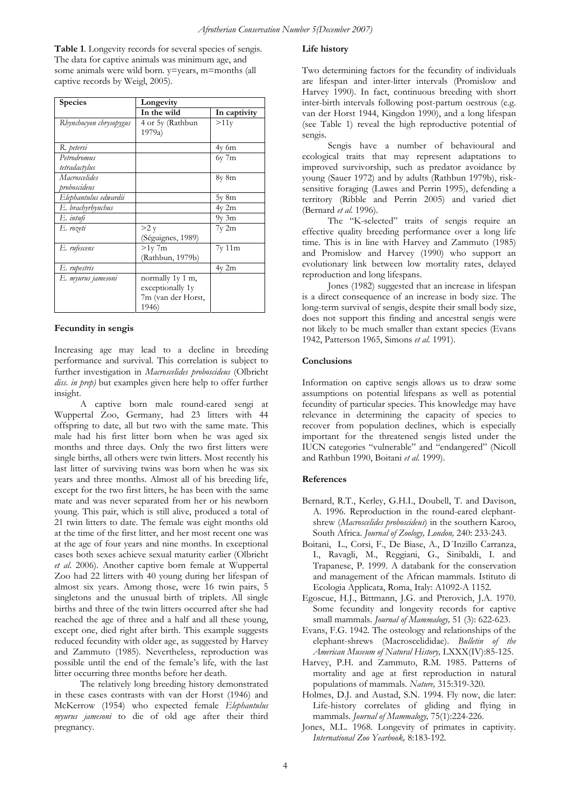**Table 1**. Longevity records for several species of sengis. The data for captive animals was minimum age, and some animals were wild born.  $v=$ years, m=months (all captive records by Weigl, 2005).

| <b>Species</b>                | Longevity                                                           |              |  |
|-------------------------------|---------------------------------------------------------------------|--------------|--|
|                               | In the wild                                                         | In captivity |  |
| Rhynchocyon chrysopygus       | 4 or 5y (Rathbun<br>1979a)                                          | >11v         |  |
| R. petersi                    |                                                                     | $4v$ 6m      |  |
| Petrodromus<br>tetradactylus  |                                                                     | $6y$ 7 $m$   |  |
| Macroscelides<br>proboscideus |                                                                     | 8y 8m        |  |
| Elephantulus edwardii         |                                                                     | $5y \, 8m$   |  |
| E. brachyrhynchus             |                                                                     | $4v$ 2m      |  |
| E. intufi                     |                                                                     | $9y \, 3m$   |  |
| E. rozeti                     | >2 y<br>(Séguignes, 1989)                                           | 7y 2m        |  |
| E. rufescens                  | $>1$ y 7m<br>(Rathbun, 1979b)                                       | 7y11m        |  |
| E. rupestris                  |                                                                     | $4v$ 2m      |  |
| E. myurus jamesoni            | normally 1y 1 m,<br>exceptionally 1y<br>7m (van der Horst,<br>1946) |              |  |

### **Fecundity in sengis**

Increasing age may lead to a decline in breeding performance and survival. This correlation is subject to further investigation in *Macroscelides proboscideus* (Olbricht *diss. in prep)* but examples given here help to offer further insight.

A captive born male round-eared sengi at Wuppertal Zoo, Germany, had 23 litters with 44 offspring to date, all but two with the same mate. This male had his first litter born when he was aged six months and three days. Only the two first litters were single births, all others were twin litters. Most recently his last litter of surviving twins was born when he was six years and three months. Almost all of his breeding life, except for the two first litters, he has been with the same mate and was never separated from her or his newborn young. This pair, which is still alive, produced a total of 21 twin litters to date. The female was eight months old at the time of the first litter, and her most recent one was at the age of four years and nine months. In exceptional cases both sexes achieve sexual maturity earlier (Olbricht *et al*. 2006). Another captive born female at Wuppertal Zoo had 22 litters with 40 young during her lifespan of almost six years. Among those, were 16 twin pairs, 5 singletons and the unusual birth of triplets. All single births and three of the twin litters occurred after she had reached the age of three and a half and all these young, except one, died right after birth. This example suggests reduced fecundity with older age, as suggested by Harvey and Zammuto (1985). Nevertheless, reproduction was possible until the end of the female's life, with the last litter occurring three months before her death.

The relatively long breeding history demonstrated in these cases contrasts with van der Horst (1946) and McKerrow (1954) who expected female *Elephantulus myurus jamesoni* to die of old age after their third pregnancy.

#### **Life history**

Two determining factors for the fecundity of individuals are lifespan and inter-litter intervals (Promislow and Harvey 1990). In fact, continuous breeding with short inter-birth intervals following post-partum oestrous (e.g. van der Horst 1944, Kingdon 1990), and a long lifespan (see Table 1) reveal the high reproductive potential of sengis.

Sengis have a number of behavioural and ecological traits that may represent adaptations to improved survivorship, such as predator avoidance by young (Sauer 1972) and by adults (Rathbun 1979b), risksensitive foraging (Lawes and Perrin 1995), defending a territory (Ribble and Perrin 2005) and varied diet (Bernard *et al*. 1996).

The "K-selected" traits of sengis require an effective quality breeding performance over a long life time. This is in line with Harvey and Zammuto (1985) and Promislow and Harvey (1990) who support an evolutionary link between low mortality rates, delayed reproduction and long lifespans.

Jones (1982) suggested that an increase in lifespan is a direct consequence of an increase in body size. The long-term survival of sengis, despite their small body size, does not support this finding and ancestral sengis were not likely to be much smaller than extant species (Evans 1942, Patterson 1965, Simons *et al.* 1991).

#### **Conclusions**

Information on captive sengis allows us to draw some assumptions on potential lifespans as well as potential fecundity of particular species. This knowledge may have relevance in determining the capacity of species to recover from population declines, which is especially important for the threatened sengis listed under the IUCN categories "vulnerable" and "endangered" (Nicoll and Rathbun 1990, Boitani *et al.* 1999).

#### **References**

- Bernard, R.T., Kerley, G.H.I., Doubell, T. and Davison, A. 1996. Reproduction in the round-eared elephantshrew (*Macroscelides proboscideus*) in the southern Karoo, South Africa. *Journal of Zoology, London,* 240: 233-243.
- Boitani, L., Corsi, F., De Biase, A., D´Inzillo Carranza, I., Ravagli, M., Reggiani, G., Sinibaldi, I. and Trapanese, P. 1999. A databank for the conservation and management of the African mammals. Istituto di Ecologia Applicata, Roma, Italy: A1092-A 1152.
- Egoscue, H.J., Bittmann, J.G. and Pterovich, J.A. 1970. Some fecundity and longevity records for captive small mammals. *Journal of Mammalogy,* 51 (3): 622-623.
- Evans, F.G. 1942. The osteology and relationships of the elephant-shrews (Macroscelididae). *Bulletin of the American Museum of Natural History,* LXXX(IV):85-125.
- Harvey, P.H. and Zammuto, R.M. 1985. Patterns of mortality and age at first reproduction in natural populations of mammals. *Nature,* 315:319-320.
- Holmes, D.J. and Austad, S.N. 1994. Fly now, die later: Life-history correlates of gliding and flying in mammals. *Journal of Mammalogy,* 75(1):224-226.
- Jones, M.L. 1968. Longevity of primates in captivity. *International Zoo Yearbook,* 8:183-192.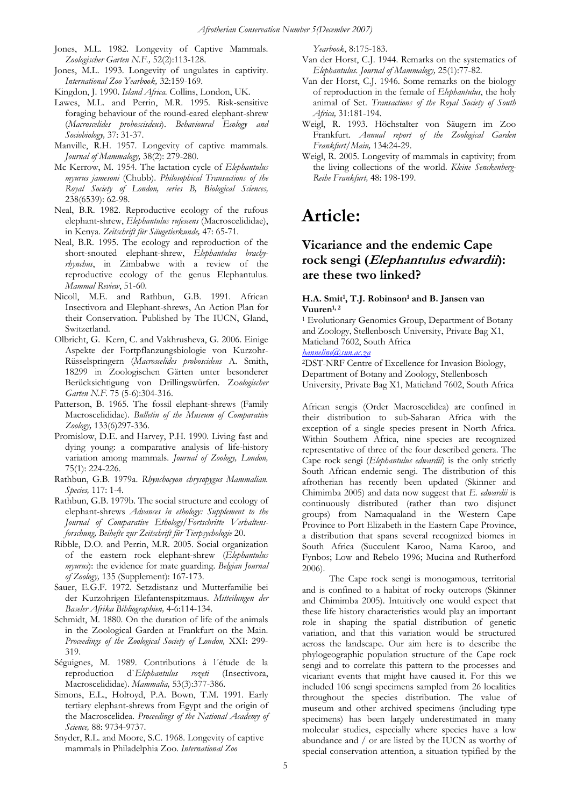- Jones, M.L. 1982. Longevity of Captive Mammals. *Zoologischer Garten N.F.,* 52(2):113-128.
- Jones, M.L. 1993. Longevity of ungulates in captivity. *International Zoo Yearbook,* 32:159-169.
- Kingdon, J. 1990. *Island Africa.* Collins, London, UK.
- Lawes, M.L. and Perrin, M.R. 1995. Risk-sensitive foraging behaviour of the round-eared elephant-shrew (*Macroscelides proboscisdeus*). *Behavioural Ecology and Sociobiology,* 37: 31-37.
- Manville, R.H. 1957. Longevity of captive mammals. *Journal of Mammalogy,* 38(2): 279-280.
- Mc Kerrow, M. 1954. The lactation cycle of *Elephantulus myurus jamesoni* (Chubb). *Philosophical Transactions of the Royal Society of London, series B, Biological Sciences,* 238(6539): 62-98.
- Neal, B.R. 1982. Reproductive ecology of the rufous elephant-shrew, *Elephantulus rufescens* (Macroscelididae), in Kenya. *Zeitschrift für Säugetierkunde,* 47: 65-71.
- Neal, B.R. 1995. The ecology and reproduction of the short-snouted elephant-shrew, *Elephantulus brachyrhynchus*, in Zimbabwe with a review of the reproductive ecology of the genus Elephantulus. *Mammal Review*, 51-60.
- Nicoll, M.E. and Rathbun, G.B. 1991. African Insectivora and Elephant-shrews, An Action Plan for their Conservation. Published by The IUCN, Gland, Switzerland.
- Olbricht, G. Kern, C. and Vakhrusheva, G. 2006. Einige Aspekte der Fortpflanzungsbiologie von Kurzohr-Rüsselspringern (*Macroscelides proboscideus* A. Smith, 18299 in Zoologischen Gärten unter besonderer Berücksichtigung von Drillingswürfen. Zo*ologischer Garten N.F.* 75 (5-6):304-316.
- Patterson, B. 1965. The fossil elephant-shrews (Family Macroscelididae). *Bulletin of the Museum of Comparative Zoology,* 133(6)297-336.
- Promislow, D.E. and Harvey, P.H. 1990. Living fast and dying young: a comparative analysis of life-history variation among mammals. *Journal of Zoology, London,* 75(1): 224-226.
- Rathbun, G.B. 1979a. *Rhynchocyon chrysopygus Mammalian. Species,* 117: 1-4.
- Rathbun, G.B. 1979b. The social structure and ecology of elephant-shrews *Advances in ethology: Supplement to the Journal of Comparative Ethology/Fortschritte Verhaltensforschung, Beihefte zur Zeitschrift für Tierpsychologie* 20.
- Ribble, D.O. and Perrin, M.R. 2005. Social organization of the eastern rock elephant-shrew (*Elephantulus myurus*): the evidence for mate guarding. *Belgian Journal of Zoology,* 135 (Supplement): 167-173.
- Sauer, E.G.F. 1972. Setzdistanz und Mutterfamilie bei der Kurzohrigen Elefantenspitzmaus. *Mitteilungen der Baseler Afrika Bibliographien,* 4-6:114-134.
- Schmidt, M. 1880. On the duration of life of the animals in the Zoological Garden at Frankfurt on the Main. *Proceedings of the Zoological Society of London,* XXI: 299- 319.
- Séguignes, M. 1989. Contributions à l´étude de la reproduction d`*Elephantulus rozeti* (Insectivora, Macroscelididae). *Mammalia,* 53(3):377-386.
- Simons, E.L., Holroyd, P.A. Bown, T.M. 1991. Early tertiary elephant-shrews from Egypt and the origin of the Macroscelidea. *Proceedings of the National Academy of Science,* 88: 9734-9737.
- Snyder, R.L. and Moore, S.C. 1968. Longevity of captive mammals in Philadelphia Zoo. *International Zoo*

*Yearbook*, 8:175-183.

- Van der Horst, C.J. 1944. Remarks on the systematics of *Elephantulus. Journal of Mammalogy,* 25(1):77-82.
- Van der Horst, C.J. 1946. Some remarks on the biology of reproduction in the female of *Elephantulus*, the holy animal of Set. *Transactions of the Royal Society of South Africa,* 31:181-194.
- Weigl, R. 1993. Höchstalter von Säugern im Zoo Frankfurt. *Annual report of the Zoological Garden Frankfurt/Main,* 134:24-29.
- Weigl, R. 2005. Longevity of mammals in captivity; from the living collections of the world. *Kleine Senckenberg-Reihe Frankfurt,* 48: 198-199.

# **Article:**

### **Vicariance and the endemic Cape rock sengi (Elephantulus edwardii): are these two linked?**

#### **H.A. Smit1, T.J. Robinson1 and B. Jansen van Vuuren1, 2**

1 Evolutionary Genomics Group, Department of Botany and Zoology, Stellenbosch University, Private Bag X1, Matieland 7602, South Africa

*[hanneline@sun.ac.za](mailto:hanneline@sun.ac.za)*

2DST-NRF Centre of Excellence for Invasion Biology, Department of Botany and Zoology, Stellenbosch University, Private Bag X1, Matieland 7602, South Africa

African sengis (Order Macroscelidea) are confined in their distribution to sub-Saharan Africa with the exception of a single species present in North Africa. Within Southern Africa, nine species are recognized representative of three of the four described genera. The Cape rock sengi (*Elephantulus edwardii*) is the only strictly South African endemic sengi. The distribution of this afrotherian has recently been updated (Skinner and Chimimba 2005) and data now suggest that *E. edwardii* is continuously distributed (rather than two disjunct groups) from Namaqualand in the Western Cape Province to Port Elizabeth in the Eastern Cape Province, a distribution that spans several recognized biomes in South Africa (Succulent Karoo, Nama Karoo, and Fynbos; Low and Rebelo 1996; Mucina and Rutherford 2006).

The Cape rock sengi is monogamous, territorial and is confined to a habitat of rocky outcrops (Skinner and Chimimba 2005). Intuitively one would expect that these life history characteristics would play an important role in shaping the spatial distribution of genetic variation, and that this variation would be structured across the landscape. Our aim here is to describe the phylogeographic population structure of the Cape rock sengi and to correlate this pattern to the processes and vicariant events that might have caused it. For this we included 106 sengi specimens sampled from 26 localities throughout the species distribution. The value of museum and other archived specimens (including type specimens) has been largely underestimated in many molecular studies, especially where species have a low abundance and / or are listed by the IUCN as worthy of special conservation attention, a situation typified by the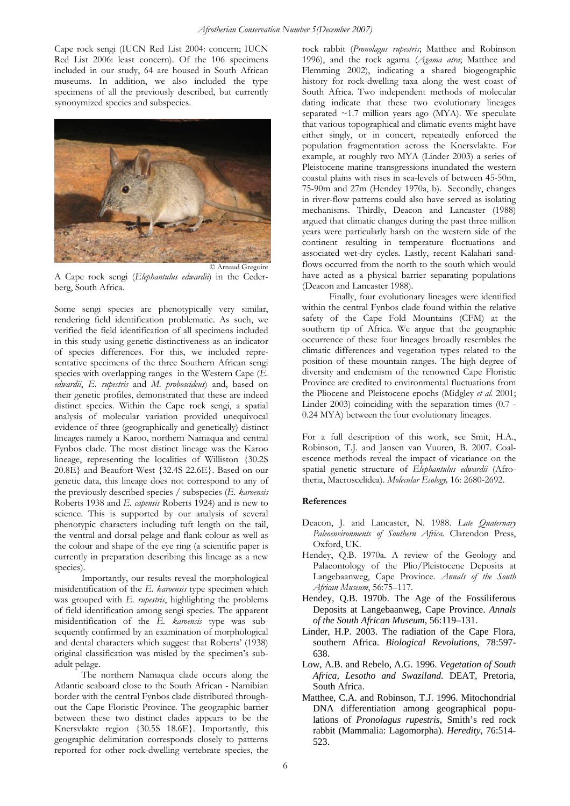Cape rock sengi (IUCN Red List 2004: concern; IUCN Red List 2006: least concern). Of the 106 specimens included in our study, 64 are housed in South African museums. In addition, we also included the type specimens of all the previously described, but currently synonymized species and subspecies.



A Cape rock sengi (*Elephantulus edwardii*) in the Cederberg, South Africa.

Some sengi species are phenotypically very similar, rendering field identification problematic. As such, we verified the field identification of all specimens included in this study using genetic distinctiveness as an indicator of species differences. For this, we included representative specimens of the three Southern African sengi species with overlapping ranges in the Western Cape (*E*. *edwardii*, *E. rupestris* and *M. proboscideus*) and, based on their genetic profiles, demonstrated that these are indeed distinct species. Within the Cape rock sengi, a spatial analysis of molecular variation provided unequivocal evidence of three (geographically and genetically) distinct lineages namely a Karoo, northern Namaqua and central Fynbos clade. The most distinct lineage was the Karoo lineage, representing the localities of Williston {30.2S 20.8E} and Beaufort-West {32.4S 22.6E}. Based on our genetic data, this lineage does not correspond to any of the previously described species / subspecies (*E. karoensis* Roberts 1938 and *E. capensis* Roberts 1924) and is new to science. This is supported by our analysis of several phenotypic characters including tuft length on the tail, the ventral and dorsal pelage and flank colour as well as the colour and shape of the eye ring (a scientific paper is currently in preparation describing this lineage as a new species).

Importantly, our results reveal the morphological misidentification of the *E. karoensis* type specimen which was grouped with *E. rupestris*, highlighting the problems of field identification among sengi species. The apparent misidentification of the *E. karoensis* type was subsequently confirmed by an examination of morphological and dental characters which suggest that Roberts' (1938) original classification was misled by the specimen's subadult pelage.

The northern Namaqua clade occurs along the Atlantic seaboard close to the South African - Namibian border with the central Fynbos clade distributed throughout the Cape Floristic Province. The geographic barrier between these two distinct clades appears to be the Knersvlakte region {30.5S 18.6E}. Importantly, this geographic delimitation corresponds closely to patterns reported for other rock-dwelling vertebrate species, the rock rabbit (*Pronolagus rupestris*; Matthee and Robinson 1996), and the rock agama (*Agama atra*; Matthee and Flemming 2002), indicating a shared biogeographic history for rock-dwelling taxa along the west coast of South Africa. Two independent methods of molecular dating indicate that these two evolutionary lineages separated  $\sim$ 1.7 million years ago (MYA). We speculate that various topographical and climatic events might have either singly, or in concert, repeatedly enforced the population fragmentation across the Knersvlakte. For example, at roughly two MYA (Linder 2003) a series of Pleistocene marine transgressions inundated the western coastal plains with rises in sea-levels of between 45-50m, 75-90m and 27m (Hendey 1970a, b). Secondly, changes in river-flow patterns could also have served as isolating mechanisms. Thirdly, Deacon and Lancaster (1988) argued that climatic changes during the past three million years were particularly harsh on the western side of the continent resulting in temperature fluctuations and associated wet-dry cycles. Lastly, recent Kalahari sandflows occurred from the north to the south which would have acted as a physical barrier separating populations (Deacon and Lancaster 1988).

Finally, four evolutionary lineages were identified within the central Fynbos clade found within the relative safety of the Cape Fold Mountains (CFM) at the southern tip of Africa. We argue that the geographic occurrence of these four lineages broadly resembles the climatic differences and vegetation types related to the position of these mountain ranges. The high degree of diversity and endemism of the renowned Cape Floristic Province are credited to environmental fluctuations from the Pliocene and Pleistocene epochs (Midgley *et al*. 2001; Linder 2003) coinciding with the separation times (0.7 - 0.24 MYA) between the four evolutionary lineages.

For a full description of this work, see Smit, H.A., Robinson, T.J. and Jansen van Vuuren, B. 2007. Coalescence methods reveal the impact of vicariance on the spatial genetic structure of *Elephantulus edwardii* (Afrotheria, Macroscelidea). *Molecular Ecology,* 16: 2680-2692.

### **References**

- Deacon, J. and Lancaster, N. 1988. *Late Quaternary Paleoenvironments of Southern Africa.* Clarendon Press, Oxford, UK.
- Hendey, Q.B. 1970a. A review of the Geology and Palaeontology of the Plio/Pleistocene Deposits at Langebaanweg, Cape Province. *Annals of the South African Museum*, 56:75–117.
- Hendey, Q.B. 1970b. The Age of the Fossiliferous Deposits at Langebaanweg, Cape Province. *Annals of the South African Museum*, 56:119–131.
- Linder, H.P. 2003. The radiation of the Cape Flora, southern Africa. *Biological Revolutions*, 78:597- 638.
- Low, A.B. and Rebelo, A.G. 1996. *Vegetation of South Africa, Lesotho and Swaziland.* DEAT, Pretoria, South Africa.
- Matthee, C.A. and Robinson, T.J. 1996. Mitochondrial DNA differentiation among geographical populations of *Pronolagus rupestris*, Smith's red rock rabbit (Mammalia: Lagomorpha). *Heredity*, 76:514- 523.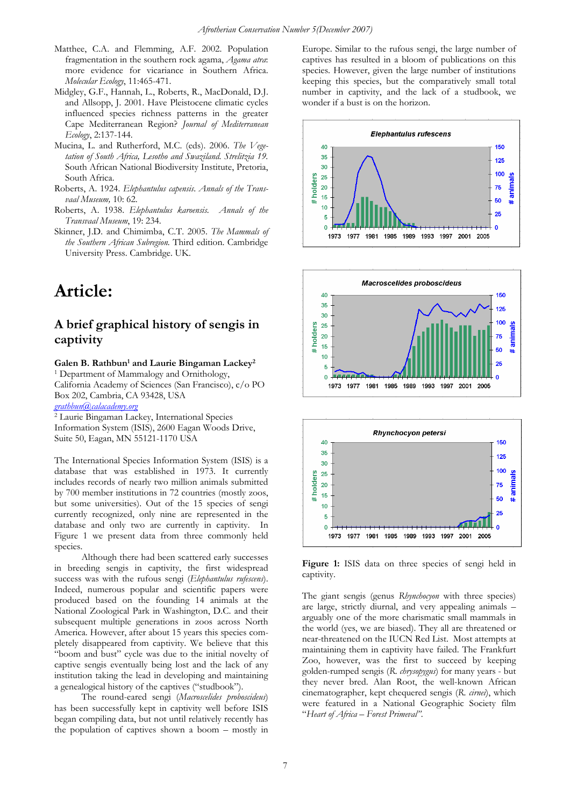- Matthee, C.A. and Flemming, A.F. 2002. Population fragmentation in the southern rock agama, *Agama atra*: more evidence for vicariance in Southern Africa. *Molecular Ecology*, 11:465-471.
- Midgley, G.F., Hannah, L., Roberts, R., MacDonald, D.J. and Allsopp, J. 2001. Have Pleistocene climatic cycles influenced species richness patterns in the greater Cape Mediterranean Region? *Journal of Mediterranean Ecology*, 2:137-144.
- Mucina, L. and Rutherford, M.C. (eds). 2006. *The Vegetation of South Africa, Lesotho and Swaziland. Strelitzia 19.* South African National Biodiversity Institute, Pretoria, South Africa.
- Roberts, A. 1924. *Elephantulus capensis*. *Annals of the Transvaal Museum,* 10: 62.
- Roberts, A. 1938. *Elephantulus karoensis. Annals of the Transvaal Museum*, 19: 234.
- Skinner, J.D. and Chimimba, C.T. 2005. *The Mammals of the Southern African Subregion.* Third edition. Cambridge University Press. Cambridge. UK.

# **Article:**

### **A brief graphical history of sengis in captivity**

### Galen B. Rathbun<sup>1</sup> and Laurie Bingaman Lackey<sup>2</sup>

1 Department of Mammalogy and Ornithology, California Academy of Sciences (San Francisco), c/o PO Box 202, Cambria, CA 93428, USA

*[grathbun@calacademy.org](mailto:grathbun@calacademy.org)*

2 Laurie Bingaman Lackey, International Species Information System (ISIS), 2600 Eagan Woods Drive, Suite 50, Eagan, MN 55121-1170 USA

The International Species Information System (ISIS) is a database that was established in 1973. It currently includes records of nearly two million animals submitted by 700 member institutions in 72 countries (mostly zoos, but some universities). Out of the 15 species of sengi currently recognized, only nine are represented in the database and only two are currently in captivity. In Figure 1 we present data from three commonly held species.

Although there had been scattered early successes in breeding sengis in captivity, the first widespread success was with the rufous sengi (*Elephantulus rufescens*). Indeed, numerous popular and scientific papers were produced based on the founding 14 animals at the National Zoological Park in Washington, D.C. and their subsequent multiple generations in zoos across North America. However, after about 15 years this species completely disappeared from captivity. We believe that this "boom and bust" cycle was due to the initial novelty of captive sengis eventually being lost and the lack of any institution taking the lead in developing and maintaining a genealogical history of the captives ("studbook").

The round-eared sengi (*Macroscelides proboscideus*) has been successfully kept in captivity well before ISIS began compiling data, but not until relatively recently has the population of captives shown a boom – mostly in Europe. Similar to the rufous sengi, the large number of captives has resulted in a bloom of publications on this species. However, given the large number of institutions keeping this species, but the comparatively small total number in captivity, and the lack of a studbook, we wonder if a bust is on the horizon.







**Figure 1:** ISIS data on three species of sengi held in captivity.

The giant sengis (genus *Rhynchocyon* with three species) are large, strictly diurnal, and very appealing animals – arguably one of the more charismatic small mammals in the world (yes, we are biased). They all are threatened or near-threatened on the IUCN Red List. Most attempts at maintaining them in captivity have failed. The Frankfurt Zoo, however, was the first to succeed by keeping golden-rumped sengis (*R*. *chrysopygus*) for many years - but they never bred. Alan Root, the well-known African cinematographer, kept chequered sengis (*R*. *cirnei*), which were featured in a National Geographic Society film "*Heart of Africa – Forest Primeval"*.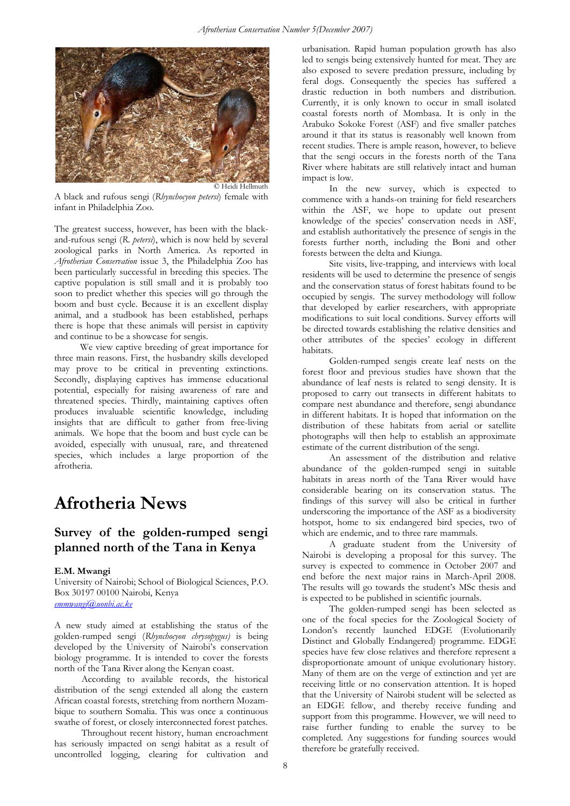

A black and rufous sengi (*Rhynchocyon petersi*) female with infant in Philadelphia Zoo.

The greatest success, however, has been with the blackand-rufous sengi (*R*. *petersi*), which is now held by several zoological parks in North America. As reported in *Afrotherian Conservation* issue 3, the Philadelphia Zoo has been particularly successful in breeding this species. The captive population is still small and it is probably too soon to predict whether this species will go through the boom and bust cycle. Because it is an excellent display animal, and a studbook has been established, perhaps there is hope that these animals will persist in captivity and continue to be a showcase for sengis.

We view captive breeding of great importance for three main reasons. First, the husbandry skills developed may prove to be critical in preventing extinctions. Secondly, displaying captives has immense educational potential, especially for raising awareness of rare and threatened species. Thirdly, maintaining captives often produces invaluable scientific knowledge, including insights that are difficult to gather from free-living animals. We hope that the boom and bust cycle can be avoided, especially with unusual, rare, and threatened species, which includes a large proportion of the afrotheria.

# **Afrotheria News**

### **Survey of the golden-rumped sengi planned north of the Tana in Kenya**

#### **E.M. Mwangi**

University of Nairobi; School of Biological Sciences, P.O. Box 30197 00100 Nairobi, Kenya *[emmwangi@uonbi.ac.ke](mailto:emmwangi@uonbi.ac.ke)*

A new study aimed at establishing the status of the golden-rumped sengi (*Rhynchocyon chrysopygus)* is being developed by the University of Nairobi's conservation biology programme. It is intended to cover the forests north of the Tana River along the Kenyan coast.

According to available records, the historical distribution of the sengi extended all along the eastern African coastal forests, stretching from northern Mozambique to southern Somalia. This was once a continuous swathe of forest, or closely interconnected forest patches.

Throughout recent history, human encroachment has seriously impacted on sengi habitat as a result of uncontrolled logging, clearing for cultivation and

urbanisation. Rapid human population growth has also led to sengis being extensively hunted for meat. They are also exposed to severe predation pressure, including by feral dogs. Consequently the species has suffered a drastic reduction in both numbers and distribution. Currently, it is only known to occur in small isolated coastal forests north of Mombasa. It is only in the Arabuko Sokoke Forest (ASF) and five smaller patches around it that its status is reasonably well known from recent studies. There is ample reason, however, to believe that the sengi occurs in the forests north of the Tana River where habitats are still relatively intact and human impact is low.

In the new survey, which is expected to commence with a hands-on training for field researchers within the ASF, we hope to update out present knowledge of the species' conservation needs in ASF, and establish authoritatively the presence of sengis in the forests further north, including the Boni and other forests between the delta and Kiunga.

Site visits, live-trapping, and interviews with local residents will be used to determine the presence of sengis and the conservation status of forest habitats found to be occupied by sengis. The survey methodology will follow that developed by earlier researchers, with appropriate modifications to suit local conditions. Survey efforts will be directed towards establishing the relative densities and other attributes of the species' ecology in different habitats.

Golden-rumped sengis create leaf nests on the forest floor and previous studies have shown that the abundance of leaf nests is related to sengi density. It is proposed to carry out transects in different habitats to compare nest abundance and therefore, sengi abundance in different habitats. It is hoped that information on the distribution of these habitats from aerial or satellite photographs will then help to establish an approximate estimate of the current distribution of the sengi.

An assessment of the distribution and relative abundance of the golden-rumped sengi in suitable habitats in areas north of the Tana River would have considerable bearing on its conservation status. The findings of this survey will also be critical in further underscoring the importance of the ASF as a biodiversity hotspot, home to six endangered bird species, two of which are endemic, and to three rare mammals.

A graduate student from the University of Nairobi is developing a proposal for this survey. The survey is expected to commence in October 2007 and end before the next major rains in March-April 2008. The results will go towards the student's MSc thesis and is expected to be published in scientific journals.

The golden-rumped sengi has been selected as one of the focal species for the Zoological Society of London's recently launched EDGE (Evolutionarily Distinct and Globally Endangered) programme. EDGE species have few close relatives and therefore represent a disproportionate amount of unique evolutionary history. Many of them are on the verge of extinction and yet are receiving little or no conservation attention. It is hoped that the University of Nairobi student will be selected as an EDGE fellow, and thereby receive funding and support from this programme. However, we will need to raise further funding to enable the survey to be completed. Any suggestions for funding sources would therefore be gratefully received.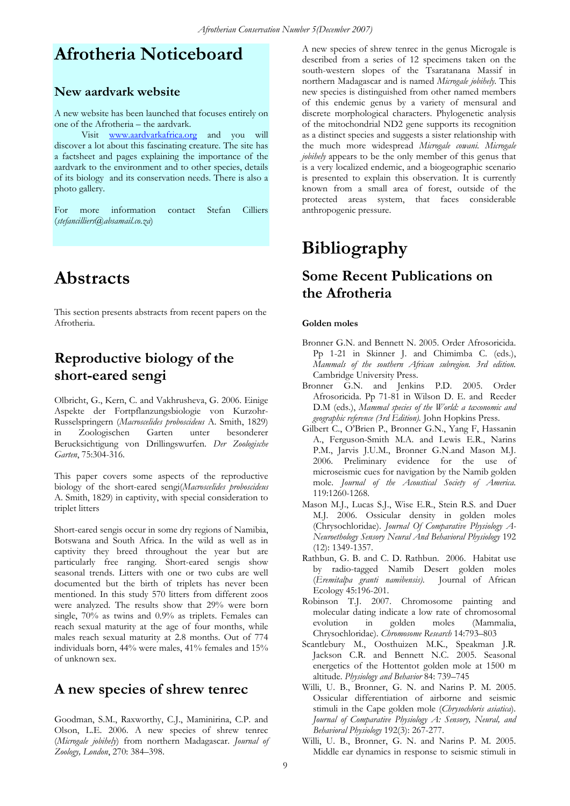## **Afrotheria Noticeboard**

### **New aardvark website**

A new website has been launched that focuses entirely on one of the Afrotheria – the aardvark.

Visit www.aardvarkafrica.org and you will discover a lot about this fascinating creature. The site has a factsheet and pages explaining the importance of the aardvark to the environment and to other species, details of its biology and its conservation needs. There is also a photo gallery.

For more information contact Stefan Cilliers (*stefancilliers@absamail.co.za*)

### **Abstracts**

This section presents abstracts from recent papers on the Afrotheria.

### **Reproductive biology of the short-eared sengi**

Olbricht, G., Kern, C. and Vakhrusheva, G. 2006. Einige Aspekte der Fortpflanzungsbiologie von Kurzohr-Russelspringern (*Macroscelides proboscideus* A. Smith, 1829) in Zoologischen Garten unter besonderer Berucksichtigung von Drillingswurfen. *Der Zoologische Garten*, 75:304-316.

This paper covers some aspects of the reproductive biology of the short-eared sengi(*Macroscelides proboscideus* A. Smith, 1829) in captivity, with special consideration to triplet litters

Short-eared sengis occur in some dry regions of Namibia, Botswana and South Africa. In the wild as well as in captivity they breed throughout the year but are particularly free ranging. Short-eared sengis show seasonal trends. Litters with one or two cubs are well documented but the birth of triplets has never been mentioned. In this study 570 litters from different zoos were analyzed. The results show that 29% were born single, 70% as twins and 0.9% as triplets. Females can reach sexual maturity at the age of four months, while males reach sexual maturity at 2.8 months. Out of 774 individuals born, 44% were males, 41% females and 15% of unknown sex.

### **A new species of shrew tenrec**

Goodman, S.M., Raxworthy, C.J., Maminirina, C.P. and Olson, L.E. 2006. A new species of shrew tenrec (*Microgale jobihely*) from northern Madagascar. *Journal of Zoology, London*, 270: 384–398.

A new species of shrew tenrec in the genus Microgale is described from a series of 12 specimens taken on the south-western slopes of the Tsaratanana Massif in northern Madagascar and is named *Microgale jobihely*. This new species is distinguished from other named members of this endemic genus by a variety of mensural and discrete morphological characters. Phylogenetic analysis of the mitochondrial ND2 gene supports its recognition as a distinct species and suggests a sister relationship with the much more widespread *Microgale cowani. Microgale jobihely* appears to be the only member of this genus that is a very localized endemic, and a biogeographic scenario is presented to explain this observation. It is currently known from a small area of forest, outside of the protected areas system, that faces considerable anthropogenic pressure.

# **Bibliography**

### **Some Recent Publications on the Afrotheria**

#### **Golden moles**

- Bronner G.N. and Bennett N. 2005. Order Afrosoricida. Pp 1-21 in Skinner J. and Chimimba C. (eds.), *Mammals of the southern African subregion. 3rd edition.*  Cambridge University Press.
- Bronner G.N. and Jenkins P.D. 2005. Order Afrosoricida. Pp 71-81 in Wilson D. E. and Reeder D.M (eds.), *Mammal species of the World: a taxonomic and geographic reference (3rd Edition).* John Hopkins Press.
- Gilbert C., O'Brien P., Bronner G.N., Yang F, Hassanin A., Ferguson-Smith M.A. and Lewis E.R., Narins P.M., Jarvis J.U.M., Bronner G.N.and Mason M.J. 2006. Preliminary evidence for the use of microseismic cues for navigation by the Namib golden mole. *Journal of the Acoustical Society of America*. 119:1260-1268.
- Mason M.J., Lucas S.J., Wise E.R., Stein R.S. and Duer M.J. 2006. Ossicular density in golden moles (Chrysochloridae). *Journal Of Comparative Physiology A-Neuroethology Sensory Neural And Behavioral Physiology* 192 (12): 1349-1357.
- Rathbun, G. B. and C. D. Rathbun. 2006. Habitat use by radio-tagged Namib Desert golden moles (*Eremitalpa granti namibensis)*. Journal of African Ecology 45:196-201.
- Robinson T.J. 2007. Chromosome painting and molecular dating indicate a low rate of chromosomal evolution in golden moles (Mammalia, Chrysochloridae). *Chromosome Research* 14:793–803
- Scantlebury M., Oosthuizen M.K., Speakman J.R. Jackson C.R. and Bennett N.C. 2005. Seasonal energetics of the Hottentot golden mole at 1500 m altitude. *Physiology and Behavior* 84: 739–745
- Willi, U. B., Bronner, G. N. and Narins P. M. 2005. Ossicular differentiation of airborne and seismic stimuli in the Cape golden mole (*Chrysochloris asiatica*). *Journal of Comparative Physiology A: Sensory, Neural, and Behavioral Physiology* 192(3): 267-277.
- Willi, U. B., Bronner, G. N. and Narins P. M. 2005. Middle ear dynamics in response to seismic stimuli in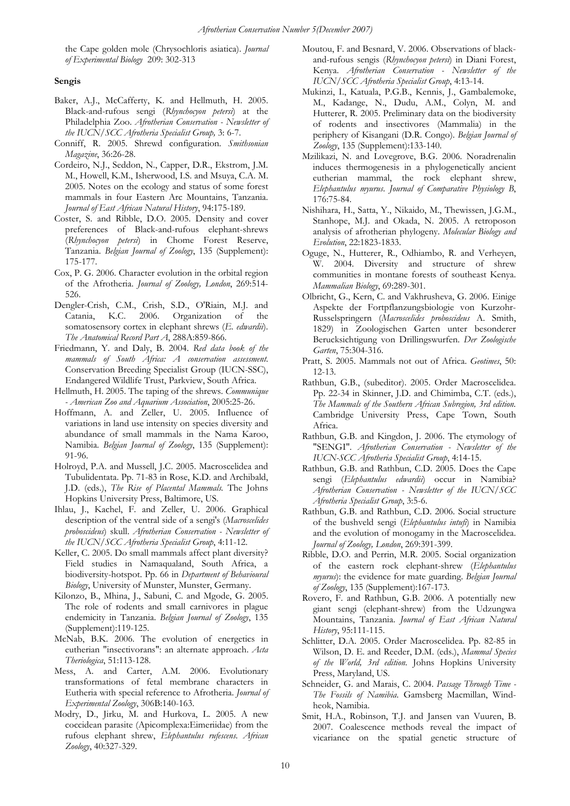the Cape golden mole (Chrysochloris asiatica). *Journal of Experimental Biology* 209: 302-313

#### **Sengis**

- Baker, A.J., McCafferty, K. and Hellmuth, H. 2005. Black-and-rufous sengi (*Rhynchocyon petersi*) at the Philadelphia Zoo. *Afrotherian Conservation - Newsletter of the IUCN/SCC Afrotheria Specialist Group,* 3: 6-7.
- Conniff, R. 2005. Shrewd configuration. *Smithsonian Magazine*, 36:26-28.
- Cordeiro, N.J., Seddon, N., Capper, D.R., Ekstrom, J.M. M., Howell, K.M., Isherwood, I.S. and Msuya, C.A. M. 2005. Notes on the ecology and status of some forest mammals in four Eastern Arc Mountains, Tanzania. *Journal of East African Natural History*, 94:175-189.
- Coster, S. and Ribble, D.O. 2005. Density and cover preferences of Black-and-rufous elephant-shrews (*Rhynchocyon petersi*) in Chome Forest Reserve, Tanzania. *Belgian Journal of Zoology*, 135 (Supplement): 175-177.
- Cox, P. G. 2006. Character evolution in the orbital region of the Afrotheria. *Journal of Zoology, London*, 269:514- 526.
- Dengler-Crish, C.M., Crish, S.D., O'Riain, M.J. and Catania, K.C. 2006. Organization of the somatosensory cortex in elephant shrews (*E. edwardii*). *The Anatomical Record Part A*, 288A:859-866.
- Friedmann, Y. and Daly, B. 2004. *Red data book of the mammals of South Africa: A conservation assessment*. Conservation Breeding Specialist Group (IUCN-SSC), Endangered Wildlife Trust, Parkview, South Africa.
- Hellmuth, H. 2005. The taping of the shrews. *Communique - American Zoo and Aquarium Association*, 2005:25-26.
- Hoffmann, A. and Zeller, U. 2005. Influence of variations in land use intensity on species diversity and abundance of small mammals in the Nama Karoo, Namibia. *Belgian Journal of Zoology*, 135 (Supplement): 91-96.
- Holroyd, P.A. and Mussell, J.C. 2005. Macroscelidea and Tubulidentata. Pp. 71-83 in Rose, K.D. and Archibald, J.D. (eds.), *The Rise of Placental Mammals.* The Johns Hopkins University Press, Baltimore, US.
- Ihlau, J., Kachel, F. and Zeller, U. 2006. Graphical description of the ventral side of a sengi's (*Macroscelides proboscideus*) skull. *Afrotherian Conservation - Newsletter of the IUCN/SCC Afrotheria Specialist Group*, 4:11-12.
- Keller, C. 2005. Do small mammals affect plant diversity? Field studies in Namaqualand, South Africa, a biodiversity-hotspot. Pp. 66 in *Department of Behavioural Biology*, University of Munster, Munster, Germany.
- Kilonzo, B., Mhina, J., Sabuni, C. and Mgode, G. 2005. The role of rodents and small carnivores in plague endemicity in Tanzania. *Belgian Journal of Zoology*, 135 (Supplement):119-125.
- McNab, B.K. 2006. The evolution of energetics in eutherian "insectivorans": an alternate approach. *Acta Theriologica*, 51:113-128.
- Mess, A. and Carter, A.M. 2006. Evolutionary transformations of fetal membrane characters in Eutheria with special reference to Afrotheria. *Journal of Experimental Zoology*, 306B:140-163.
- Modry, D., Jirku, M. and Hurkova, L. 2005. A new coccidean parasite (Apicomplexa:Eimeriidae) from the rufous elephant shrew, *Elephantulus rufescens*. *African Zoology*, 40:327-329.
- Moutou, F. and Besnard, V. 2006. Observations of blackand-rufous sengis (*Rhynchocyon petersi*) in Diani Forest, Kenya. *Afrotherian Conservation - Newsletter of the IUCN/SCC Afrotheria Specialist Group*, 4:13-14.
- Mukinzi, I., Katuala, P.G.B., Kennis, J., Gambalemoke, M., Kadange, N., Dudu, A.M., Colyn, M. and Hutterer, R. 2005. Preliminary data on the biodiversity of rodents and insectivores (Mammalia) in the periphery of Kisangani (D.R. Congo). *Belgian Journal of Zoology*, 135 (Supplement):133-140.
- Mzilikazi, N. and Lovegrove, B.G. 2006. Noradrenalin induces thermogenesis in a phylogenetically ancient eutherian mammal, the rock elephant shrew, *Elephantulus myurus*. *Journal of Comparative Physiology B*, 176:75-84.
- Nishihara, H., Satta, Y., Nikaido, M., Thewissen, J.G.M., Stanhope, M.J. and Okada, N. 2005. A retroposon analysis of afrotherian phylogeny. *Molecular Biology and Evolution*, 22:1823-1833.
- Oguge, N., Hutterer, R., Odhiambo, R. and Verheyen, W. 2004. Diversity and structure of shrew communities in montane forests of southeast Kenya. *Mammalian Biology*, 69:289-301.
- Olbricht, G., Kern, C. and Vakhrusheva, G. 2006. Einige Aspekte der Fortpflanzungsbiologie von Kurzohr-Russelspringern (*Macroscelides proboscideus* A. Smith, 1829) in Zoologischen Garten unter besonderer Berucksichtigung von Drillingswurfen. *Der Zoologische Garten*, 75:304-316.
- Pratt, S. 2005. Mammals not out of Africa. *Geotimes*, 50: 12-13.
- Rathbun, G.B., (subeditor). 2005. Order Macroscelidea. Pp. 22-34 in Skinner, J.D. and Chimimba, C.T. (eds.), *The Mammals of the Southern African Subregion, 3rd edition.* Cambridge University Press, Cape Town, South Africa.
- Rathbun, G.B. and Kingdon, J. 2006. The etymology of "SENGI". *Afrotherian Conservation - Newsletter of the IUCN-SCC Afrotheria Specialist Group*, 4:14-15.
- Rathbun, G.B. and Rathbun, C.D. 2005. Does the Cape sengi (*Elephantulus edwardii*) occur in Namibia? *Afrotherian Conservation - Newsletter of the IUCN/SCC Afrotheria Specialist Group*, 3:5-6.
- Rathbun, G.B. and Rathbun, C.D. 2006. Social structure of the bushveld sengi (*Elephantulus intufi*) in Namibia and the evolution of monogamy in the Macroscelidea. *Journal of Zoology, London*, 269:391-399.
- Ribble, D.O. and Perrin, M.R. 2005. Social organization of the eastern rock elephant-shrew (*Elephantulus myurus*): the evidence for mate guarding. *Belgian Journal of Zoology*, 135 (Supplement):167-173.
- Rovero, F. and Rathbun, G.B. 2006. A potentially new giant sengi (elephant-shrew) from the Udzungwa Mountains, Tanzania. *Journal of East African Natural History*, 95:111-115.
- Schlitter, D.A. 2005. Order Macroscelidea. Pp. 82-85 in Wilson, D. E. and Reeder, D.M. (eds.), *Mammal Species of the World, 3rd edition.* Johns Hopkins University Press, Maryland, US.
- Schneider, G. and Marais, C. 2004. *Passage Through Time The Fossils of Namibia*. Gamsberg Macmillan, Windheok, Namibia.
- Smit, H.A., Robinson, T.J. and Jansen van Vuuren, B. 2007. Coalescence methods reveal the impact of vicariance on the spatial genetic structure of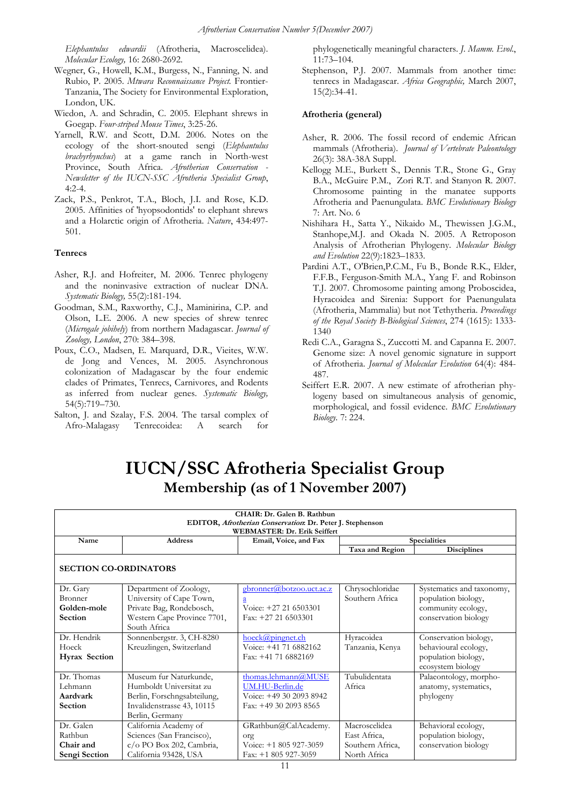*Elephantulus edwardii* (Afrotheria, Macroscelidea). *Molecular Ecology,* 16: 2680-2692.

- Wegner, G., Howell, K.M., Burgess, N., Fanning, N. and Rubio, P. 2005. *Mtwara Reconnaissance Project.* Frontier-Tanzania, The Society for Environmental Exploration, London, UK.
- Wiedon, A. and Schradin, C. 2005. Elephant shrews in Goegap. *Four-striped Mouse Times*, 3:25-26.
- Yarnell, R.W. and Scott, D.M. 2006. Notes on the ecology of the short-snouted sengi (*Elephantulus brachyrhynchus*) at a game ranch in North-west Province, South Africa. *Afrotherian Conservation - Newsletter of the IUCN-SSC Afrotheria Specialist Group*,  $4:2-4$ .
- Zack, P.S., Penkrot, T.A., Bloch, J.I. and Rose, K.D. 2005. Affinities of 'hyopsodontids' to elephant shrews and a Holarctic origin of Afrotheria. *Nature*, 434:497- 501.

#### **Tenrecs**

- Asher, R.J. and Hofreiter, M. 2006. Tenrec phylogeny and the noninvasive extraction of nuclear DNA. *Systematic Biology,* 55(2):181-194.
- Goodman, S.M., Raxworthy, C.J., Maminirina, C.P. and Olson, L.E. 2006. A new species of shrew tenrec (*Microgale jobihely*) from northern Madagascar. *Journal of Zoology, London*, 270: 384–398.
- Poux, C.O., Madsen, E. Marquard, D.R., Vieites, W.W. de Jong and Vences, M. 2005. Asynchronous colonization of Madagascar by the four endemic clades of Primates, Tenrecs, Carnivores, and Rodents as inferred from nuclear genes. *Systematic Biology,* 54(5):719–730.
- Salton, J. and Szalay, F.S. 2004. The tarsal complex of Afro-Malagasy Tenrecoidea: A search for

phylogenetically meaningful characters. *J. Mamm. Evol*., 11:73–104.

Stephenson, P.J. 2007. Mammals from another time: tenrecs in Madagascar. *Africa Geographic,* March 2007, 15(2):34-41.

#### **Afrotheria (general)**

- Asher, R. 2006. The fossil record of endemic African mammals (Afrotheria). *Journal of Vertebrate Paleontology* 26(3): 38A-38A Suppl.
- Kellogg M.E., Burkett S., Dennis T.R., Stone G., Gray B.A., McGuire P.M., Zori R.T. and Stanyon R. 2007. Chromosome painting in the manatee supports Afrotheria and Paenungulata. *BMC Evolutionary Biology* 7: Art. No. 6
- Nishihara H., Satta Y., Nikaido M., Thewissen J.G.M., Stanhope,M.J. and Okada N. 2005. A Retroposon Analysis of Afrotherian Phylogeny. *Molecular Biology and Evolution* 22(9):1823–1833.
- Pardini A.T., O'Brien,P.C.M., Fu B., Bonde R.K., Elder, F.F.B., Ferguson-Smith M.A., Yang F. and Robinson T.J. 2007. Chromosome painting among Proboscidea, Hyracoidea and Sirenia: Support for Paenungulata (Afrotheria, Mammalia) but not Tethytheria. *Proceedings of the Royal Society B-Biological Sciences*, 274 (1615): 1333- 1340
- Redi C.A., Garagna S., Zuccotti M. and Capanna E. 2007. Genome size: A novel genomic signature in support of Afrotheria. *Journal of Molecular Evolution* 64(4): 484- 487.
- Seiffert E.R. 2007. A new estimate of afrotherian phylogeny based on simultaneous analysis of genomic, morphological, and fossil evidence. *BMC Evolutionary Biology.* 7: 224.

# **IUCN/SSC Afrotheria Specialist Group Membership (as of 1 November 2007)**

| CHAIR: Dr. Galen B. Rathbun                               |                             |                                              |                  |                           |  |
|-----------------------------------------------------------|-----------------------------|----------------------------------------------|------------------|---------------------------|--|
| EDITOR, Afrotherian Conservation: Dr. Peter J. Stephenson |                             |                                              |                  |                           |  |
| <b>WEBMASTER: Dr. Erik Seiffert</b>                       |                             |                                              |                  |                           |  |
| Name                                                      | <b>Address</b>              | Email, Voice, and Fax<br><b>Specialities</b> |                  |                           |  |
|                                                           |                             |                                              | Taxa and Region  | <b>Disciplines</b>        |  |
| <b>SECTION CO-ORDINATORS</b>                              |                             |                                              |                  |                           |  |
| Dr. Gary                                                  | Department of Zoology,      | gbronner@botzoo.uct.ac.z                     | Chrysochloridae  | Systematics and taxonomy, |  |
| <b>Bronner</b>                                            | University of Cape Town,    |                                              | Southern Africa  | population biology,       |  |
| Golden-mole                                               | Private Bag, Rondebosch,    | Voice: +27 21 6503301                        |                  | community ecology,        |  |
| <b>Section</b>                                            | Western Cape Province 7701, | Fax: $+27$ 21 6503301                        |                  | conservation biology      |  |
|                                                           | South Africa                |                                              |                  |                           |  |
| Dr. Hendrik                                               | Sonnenbergstr. 3, CH-8280   | hoeck@pingnet.ch                             | Hyracoidea       | Conservation biology,     |  |
| Hoeck                                                     | Kreuzlingen, Switzerland    | Voice: +41 71 6882162                        | Tanzania, Kenya  | behavioural ecology,      |  |
| <b>Hyrax Section</b>                                      |                             | Fax: $+41$ 71 6882169                        |                  | population biology,       |  |
|                                                           |                             |                                              |                  | ecosystem biology         |  |
| Dr. Thomas                                                | Museum fur Naturkunde,      | thomas.lehmann@MUSE                          | Tubulidentata    | Palaeontology, morpho-    |  |
| Lehmann                                                   | Humboldt Universitat zu     | UM.HU-Berlin.de                              | Africa           | anatomy, systematics,     |  |
| Aardvark                                                  | Berlin, Forschngsabteilung, | Voice: +49 30 2093 8942                      |                  | phylogeny                 |  |
| <b>Section</b>                                            | Invalidenstrasse 43, 10115  | Fax: +49 30 2093 8565                        |                  |                           |  |
|                                                           | Berlin, Germany             |                                              |                  |                           |  |
| Dr. Galen                                                 | California Academy of       | GRathbun@CalAcademy.                         | Macroscelidea    | Behavioral ecology,       |  |
| Rathbun                                                   | Sciences (San Francisco),   | org                                          | East Africa,     | population biology,       |  |
| Chair and                                                 | c/o PO Box 202, Cambria,    | Voice: $+1805927-3059$                       | Southern Africa, | conservation biology      |  |
| Sengi Section                                             | California 93428, USA       | Fax: +1 805 927-3059                         | North Africa     |                           |  |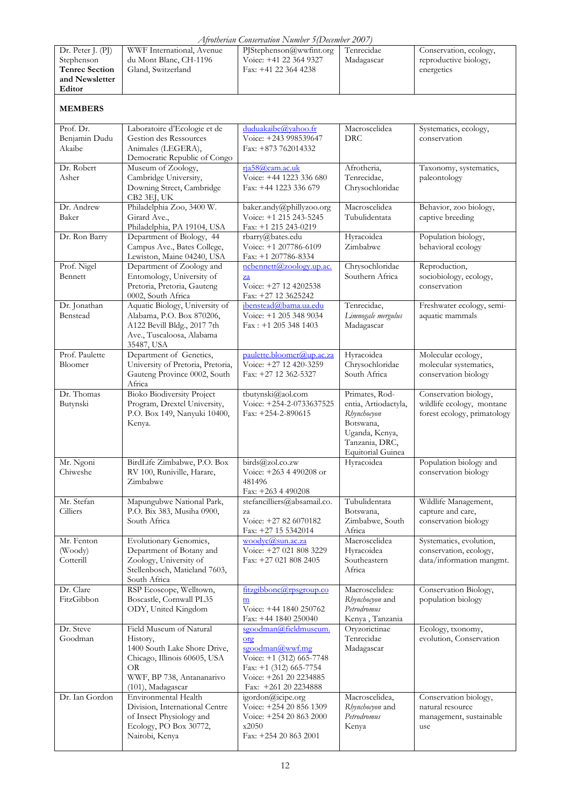|  | Afrotherian Conservation Number 5 (December 2007) |  |
|--|---------------------------------------------------|--|
|  |                                                   |  |

| $\Box$ Thomenian Conservation Intimoer Tipetember 2007 |                           |                         |            |                        |  |
|--------------------------------------------------------|---------------------------|-------------------------|------------|------------------------|--|
| Dr. Peter $J. (PI)$                                    | WWF International, Avenue | PIStephenson@wwfint.org | Tenrecidae | Conservation, ecology, |  |
| Stephenson                                             | du Mont Blanc, CH-1196    | Voice: +41 22 364 9327  | Madagascar | reproductive biology,  |  |
| <b>Tenrec Section</b>                                  | Gland, Switzerland        | Fax: $+41$ 22 364 4238  |            | energetics             |  |
| and Newsletter                                         |                           |                         |            |                        |  |
| Editor                                                 |                           |                         |            |                        |  |
|                                                        |                           |                         |            |                        |  |

### **MEMBERS**

| Prof. Dr.<br>Benjamin Dudu<br>Akaibe | Laboratoire d'Ecologie et de<br>Gestion des Ressources<br>Animales (LEGERA),<br>Democratic Republic of Congo                                                | duduakaibe@vahoo.fr<br>Voice: +243 998539647<br>Fax: +873 762014332                                                                                       | Macroscelidea<br><b>DRC</b>                                                                                                        | Systematics, ecology,<br>conservation                                             |
|--------------------------------------|-------------------------------------------------------------------------------------------------------------------------------------------------------------|-----------------------------------------------------------------------------------------------------------------------------------------------------------|------------------------------------------------------------------------------------------------------------------------------------|-----------------------------------------------------------------------------------|
| Dr. Robert<br>Asher                  | Museum of Zoology,<br>Cambridge University,<br>Downing Street, Cambridge<br>CB2 3EJ, UK                                                                     | rja58@cam.ac.uk<br>Voice: +44 1223 336 680<br>Fax: +44 1223 336 679                                                                                       | Afrotheria,<br>Tenrecidae,<br>Chrysochloridae                                                                                      | Taxonomy, systematics,<br>paleontology                                            |
| Dr. Andrew<br>Baker                  | Philadelphia Zoo, 3400 W.<br>Girard Ave.,<br>Philadelphia, PA 19104, USA                                                                                    | baker.andy@phillyzoo.org<br>Voice: +1 215 243-5245<br>Fax: +1 215 243-0219                                                                                | Macroscelidea<br>Tubulidentata                                                                                                     | Behavior, zoo biology,<br>captive breeding                                        |
| Dr. Ron Barry                        | Department of Biology, 44<br>Campus Ave., Bates College,<br>Lewiston, Maine 04240, USA                                                                      | rbarry@bates.edu<br>Voice: +1 207786-6109<br>Fax: +1 207786-8334                                                                                          | Hyracoidea<br>Zimbabwe                                                                                                             | Population biology,<br>behavioral ecology                                         |
| Prof. Nigel<br>Bennett               | Department of Zoology and<br>Entomology, University of<br>Pretoria, Pretoria, Gauteng<br>0002, South Africa                                                 | ncbennett@zoology.up.ac.<br>$\overline{z}a$<br>Voice: +27 12 4202538<br>Fax: +27 12 3625242                                                               | Chrysochloridae<br>Southern Africa                                                                                                 | Reproduction,<br>sociobiology, ecology,<br>conservation                           |
| Dr. Jonathan<br>Benstead             | Aquatic Biology, University of<br>Alabama, P.O. Box 870206,<br>A122 Bevill Bldg., 2017 7th<br>Ave., Tuscaloosa, Alabama<br>35487, USA                       | jbenstead@bama.ua.edu<br>Voice: +1 205 348 9034<br>$Fax: +12053481403$                                                                                    | Tenrecidae,<br>Limnogale mergulus<br>Madagascar                                                                                    | Freshwater ecology, semi-<br>aquatic mammals                                      |
| Prof. Paulette<br>Bloomer            | Department of Genetics,<br>University of Pretoria, Pretoria,<br>Gauteng Province 0002, South<br>Africa                                                      | paulette.bloomer@up.ac.za<br>Voice: +27 12 420-3259<br>Fax: +27 12 362-5327                                                                               | Hyracoidea<br>Chrysochloridae<br>South Africa                                                                                      | Molecular ecology,<br>molecular systematics,<br>conservation biology              |
| Dr. Thomas<br>Butynski               | <b>Bioko Biodiversity Project</b><br>Program, Drextel University,<br>P.O. Box 149, Nanyuki 10400,<br>Kenya.                                                 | tbutynski@aol.com<br>Voice: +254-2-0733637525<br>Fax: +254-2-890615                                                                                       | Primates, Rod-<br>entia, Artiodactyla,<br>Rhynchocyon<br>Botswana,<br>Uganda, Kenya,<br>Tanzania, DRC,<br><b>Equitorial Guinea</b> | Conservation biology,<br>wildlife ecology, montane<br>forest ecology, primatology |
| Mr. Ngoni<br>Chiweshe                | BirdLife Zimbabwe, P.O. Box<br>RV 100, Runiville, Harare,<br>Zimbabwe                                                                                       | birds@zol.co.zw<br>Voice: +263 4 490208 or<br>481496<br>Fax: +263 4 490208                                                                                | Hyracoidea                                                                                                                         | Population biology and<br>conservation biology                                    |
| Mr. Stefan<br>Cilliers               | Mapungubwe National Park,<br>P.O. Bix 383, Musiha 0900,<br>South Africa                                                                                     | stefancilliers@absamail.co.<br>za<br>Voice: +27 82 6070182<br>Fax: +27 15 5342014                                                                         | Tubulidentata<br>Botswana,<br>Zimbabwe, South<br>Africa                                                                            | Wildlife Management,<br>capture and care,<br>conservation biology                 |
| Mr. Fenton<br>(Woody)<br>Cotterill   | Evolutionary Genomics,<br>Department of Botany and<br>Zoology, University of<br>Stellenbosch, Matieland 7603,<br>South Africa                               | $woodyc(a)$ sun.ac.za<br>Voice: +27 021 808 3229<br>Fax: +27 021 808 2405                                                                                 | Macroscelidea<br>Hyracoidea<br>Southeastern<br>Africa                                                                              | Systematics, evolution,<br>conservation, ecology,<br>data/information mangmt.     |
| Dr. Clare<br>FitzGibbon              | RSP Ecoscope, Welltown,<br>Boscastle, Cornwall PL35<br>ODY, United Kingdom                                                                                  | fitzgibbonc@rpsgroup.co<br>$\underline{m}$<br>Voice: +44 1840 250762<br>Fax: +44 1840 250040                                                              | Macroscelidea:<br>Rhynchocyon and<br>Petrodromus<br>Kenya, Tanzania                                                                | Conservation Biology,<br>population biology                                       |
| Dr. Steve<br>Goodman                 | Field Museum of Natural<br>History,<br>1400 South Lake Shore Drive,<br>Chicago, Illinois 60605, USA<br>OR<br>WWF, BP 738, Antananarivo<br>(101), Madagascar | sgoodman@fieldmuseum.<br>org<br>sgoodman@wwf.mg<br>Voice: +1 (312) 665-7748<br>Fax: $+1$ (312) 665-7754<br>Voice: +261 20 2234885<br>Fax: +261 20 2234888 | Oryzorictinae<br>Tenrecidae<br>Madagascar                                                                                          | Ecology, txonomy,<br>evolution, Conservation                                      |
| Dr. Ian Gordon                       | Environmental Health<br>Division, International Centre<br>of Insect Physiology and<br>Ecology, PO Box 30772,<br>Nairobi, Kenya                              | igordon@icipe.org<br>Voice: +254 20 856 1309<br>Voice: +254 20 863 2000<br>x2050<br>Fax: $+254208632001$                                                  | Macroscelidea,<br>Rhynchocyon and<br>Petrodromus<br>Kenya                                                                          | Conservation biology,<br>natural resource<br>management, sustainable<br>use       |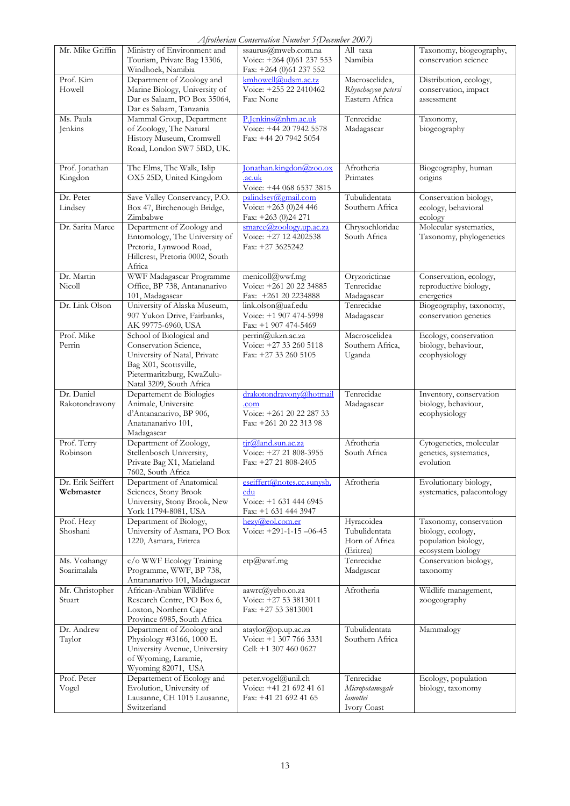*Afrotherian Conservation Number 5(December 2007)* 

|                                |                                                                                                                                                                      | Afrotherian Conservation INumber 3(December 2007)                                     |                                                            |                                                                                         |
|--------------------------------|----------------------------------------------------------------------------------------------------------------------------------------------------------------------|---------------------------------------------------------------------------------------|------------------------------------------------------------|-----------------------------------------------------------------------------------------|
| Mr. Mike Griffin               | Ministry of Environment and<br>Tourism, Private Bag 13306,<br>Windhoek, Namibia                                                                                      | ssaurus@mweb.com.na<br>Voice: +264 (0)61 237 553<br>Fax: +264 (0)61 237 552           | All taxa<br>Namibia                                        | Taxonomy, biogeography,<br>conservation science                                         |
| Prof. Kim<br>Howell            | Department of Zoology and<br>Marine Biology, University of<br>Dar es Salaam, PO Box 35064,<br>Dar es Salaam, Tanzania                                                | kmhowell@udsm.ac.tz<br>Voice: +255 22 2410462<br>Fax: None                            | Macroscelidea,<br>Rhynchocyon petersi<br>Eastern Africa    | Distribution, ecology,<br>conservation, impact<br>assessment                            |
| Ms. Paula<br>Jenkins           | Mammal Group, Department<br>of Zoology, The Natural<br>History Museum, Cromwell<br>Road, London SW7 5BD, UK.                                                         | P.Jenkins@nhm.ac.uk<br>Voice: +44 20 7942 5578<br>Fax: +44 20 7942 5054               | Tenrecidae<br>Madagascar                                   | Taxonomy,<br>biogeography                                                               |
| Prof. Jonathan<br>Kingdon      | The Elms, The Walk, Islip<br>OX5 25D, United Kingdom                                                                                                                 | Jonathan.kingdon@zoo.ox<br>.ac.uk<br>Voice: +44 068 6537 3815                         | Afrotheria<br>Primates                                     | Biogeography, human<br>origins                                                          |
| Dr. Peter<br>Lindsey           | Save Valley Conservancy, P.O.<br>Box 47, Birchenough Bridge,<br>Zimbabwe                                                                                             | palindsey@gmail.com<br>Voice: +263 (0)24 446<br>Fax: +263 (0)24 271                   | Tubulidentata<br>Southern Africa                           | Conservation biology,<br>ecology, behavioral<br>ecology                                 |
| Dr. Sarita Maree               | Department of Zoology and<br>Entomology, The University of<br>Pretoria, Lynwood Road,<br>Hillcrest, Pretoria 0002, South<br>Africa                                   | smare@zooloey.up.ac.za<br>Voice: +27 12 4202538<br>Fax: +27 3625242                   | Chrysochloridae<br>South Africa                            | Molecular systematics,<br>Taxonomy, phylogenetics                                       |
| Dr. Martin<br>Nicoll           | WWF Madagascar Programme<br>Office, BP 738, Antananarivo<br>101, Madagascar                                                                                          | menicoll@wwf.mg<br>Voice: +261 20 22 34885<br>Fax: +261 20 2234888                    | Oryzorictinae<br>Tenrecidae<br>Madagascar                  | Conservation, ecology,<br>reproductive biology,<br>energetics                           |
| Dr. Link Olson                 | University of Alaska Museum,<br>907 Yukon Drive, Fairbanks,<br>AK 99775-6960, USA                                                                                    | link.olson@uaf.edu<br>Voice: +1 907 474-5998<br>Fax: +1 907 474-5469                  | Tenrecidae<br>Madagascar                                   | Biogeography, taxonomy,<br>conservation genetics                                        |
| Prof. Mike<br>Perrin           | School of Biological and<br>Conservation Science,<br>University of Natal, Private<br>Bag X01, Scottsville,<br>Pietermaritzburg, KwaZulu-<br>Natal 3209, South Africa | perrin@ukzn.ac.za<br>Voice: +27 33 260 5118<br>Fax: +27 33 260 5105                   | Macroscelidea<br>Southern Africa,<br>Uganda                | Ecology, conservation<br>biology, behaviour,<br>ecophysiology                           |
| Dr. Daniel<br>Rakotondravony   | Departement de Biologies<br>Animale, Universite<br>d'Antananarivo, BP 906,<br>Anatananarivo 101,<br>Madagascar                                                       | drakotondravony@hotmail<br>.com<br>Voice: +261 20 22 287 33<br>Fax: +261 20 22 313 98 | Tenrecidae<br>Madagascar                                   | Inventory, conservation<br>biology, behaviour,<br>ecophysiology                         |
| Prof. Terry<br>Robinson        | Department of Zoology,<br>Stellenbosch University,<br>Private Bag X1, Matieland<br>7602, South Africa                                                                | tir@land.sun.ac.za<br>Voice: +27 21 808-3955<br>Fax: $+27$ 21 808-2405                | Afrotheria<br>South Africa                                 | Cytogenetics, molecular<br>genetics, systematics,<br>evolution                          |
| Dr. Erik Seiffert<br>Webmaster | Department of Anatomical<br>Sciences, Stony Brook<br>University, Stony Brook, New<br>York 11794-8081, USA                                                            | eseiffert@notes.cc.sunysb.<br>edu<br>Voice: +1 631 444 6945<br>Fax: +1 631 444 3947   | Afrotheria                                                 | Evolutionary biology,<br>systematics, palaeontology                                     |
| Prof. Hezy<br>Shoshani         | Department of Biology,<br>University of Asmara, PO Box<br>1220, Asmara, Eritrea                                                                                      | hexy@col.com.er<br>Voice: $+291-1-15-06-45$                                           | Hyracoidea<br>Tubulidentata<br>Horn of Africa<br>(Eritrea) | Taxonomy, conservation<br>biology, ecology,<br>population biology,<br>ecosystem biology |
| Ms. Voahangy<br>Soarimalala    | c/o WWF Ecology Training<br>Programme, WWF, BP 738,<br>Antananarivo 101, Madagascar                                                                                  | etp@wwf.mg                                                                            | Tenrecidae<br>Madgascar                                    | Conservation biology,<br>taxonomy                                                       |
| Mr. Christopher<br>Stuart      | African-Arabian Wildlifve<br>Research Centre, PO Box 6,<br>Loxton, Northern Cape<br>Province 6985, South Africa                                                      | aawrc@yebo.co.za<br>Voice: +27 53 3813011<br>Fax: +27 53 3813001                      | Afrotheria                                                 | Wildlife management,<br>zoogeography                                                    |
| Dr. Andrew<br>Taylor           | Department of Zoology and<br>Physiology #3166, 1000 E.<br>University Avenue, University<br>of Wyoming, Laramie,<br>Wyoming 82071, USA                                | ataylor@op.up.ac.za<br>Voice: +1 307 766 3331<br>Cell: +1 307 460 0627                | Tubulidentata<br>Southern Africa                           | Mammalogy                                                                               |
| Prof. Peter<br>Vogel           | Departement of Ecology and<br>Evolution, University of<br>Lausanne, CH 1015 Lausanne,<br>Switzerland                                                                 | peter.vogel@unil.ch<br>Voice: +41 21 692 41 61<br>Fax: +41 21 692 41 65               | Tenrecidae<br>Micropotamogale<br>lamottei<br>Ivory Coast   | Ecology, population<br>biology, taxonomy                                                |